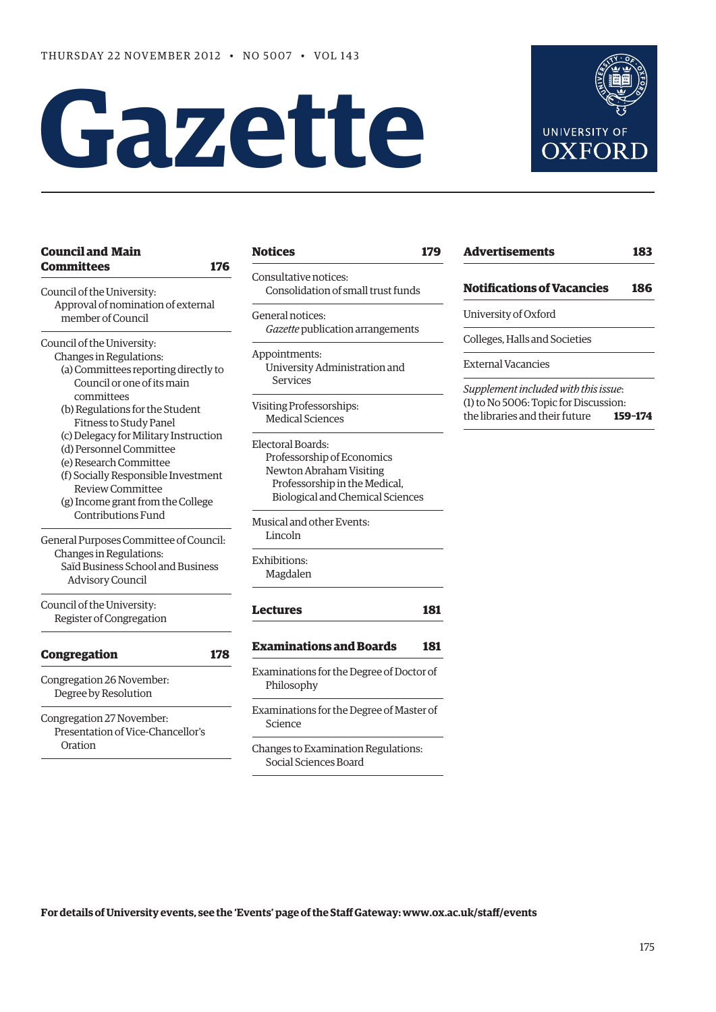# **Gazette**



| <b>Council and Main</b>                |     |
|----------------------------------------|-----|
| <b>Committees</b>                      | 176 |
| Council of the University:             |     |
| Approval of nomination of external     |     |
| member of Council                      |     |
| Council of the University:             |     |
| Changes in Regulations:                |     |
| (a) Committees reporting directly to   |     |
| Council or one of its main             |     |
| committees                             |     |
| (b) Regulations for the Student        |     |
| <b>Fitness to Study Panel</b>          |     |
| (c) Delegacy for Military Instruction  |     |
| (d) Personnel Committee                |     |
| (e) Research Committee                 |     |
| (f) Socially Responsible Investment    |     |
| <b>Review Committee</b>                |     |
| (g) Income grant from the College      |     |
| Contributions Fund                     |     |
| General Purposes Committee of Council: |     |
| Changes in Regulations:                |     |
| Saïd Business School and Business      |     |
| <b>Advisory Council</b>                |     |
| Council of the University:             |     |
| Register of Congregation               |     |
| <b>Congregation</b>                    | 178 |
|                                        |     |
| Congregation 26 November:              |     |
| Degree by Resolution                   |     |
| Congregation 27 November:              |     |
| Presentation of Vice-Chancellor's      |     |
| Oration                                |     |

# **Notices 179**

onsultative notices: Consolidation of small trust funds

eneral notices: *Gazette* publication arrangements

ppointments: University Administration and Services

isiting Professorships: Medical Sciences

lectoral Boards: Professorship of Economics Newton Abraham Visiting Professorship in the Medical, Biological and Chemical Sciences

Musical and other Events: Lincoln

Exhibitions: Magdalen

```
Lectures 181
```
# **Examinations and Boards 181**

- xaminations for the Degree of Doctor of Philosophy
- xaminations for the Degree of Master of Science

hanges to Examination Regulations: Social Sciences Board

| <b>Advertisements</b><br>183                                                  |         |  |
|-------------------------------------------------------------------------------|---------|--|
| <b>Notifications of Vacancies</b>                                             | 186     |  |
| University of Oxford                                                          |         |  |
| Colleges, Halls and Societies                                                 |         |  |
| External Vacancies                                                            |         |  |
| Supplement included with this issue:<br>(1) to No 5006: Topic for Discussion: |         |  |
| the libraries and their future                                                | 159-174 |  |

**For details of University events, see the 'Events' page of the Staff Gateway: www.ox.ac.uk/staff/events**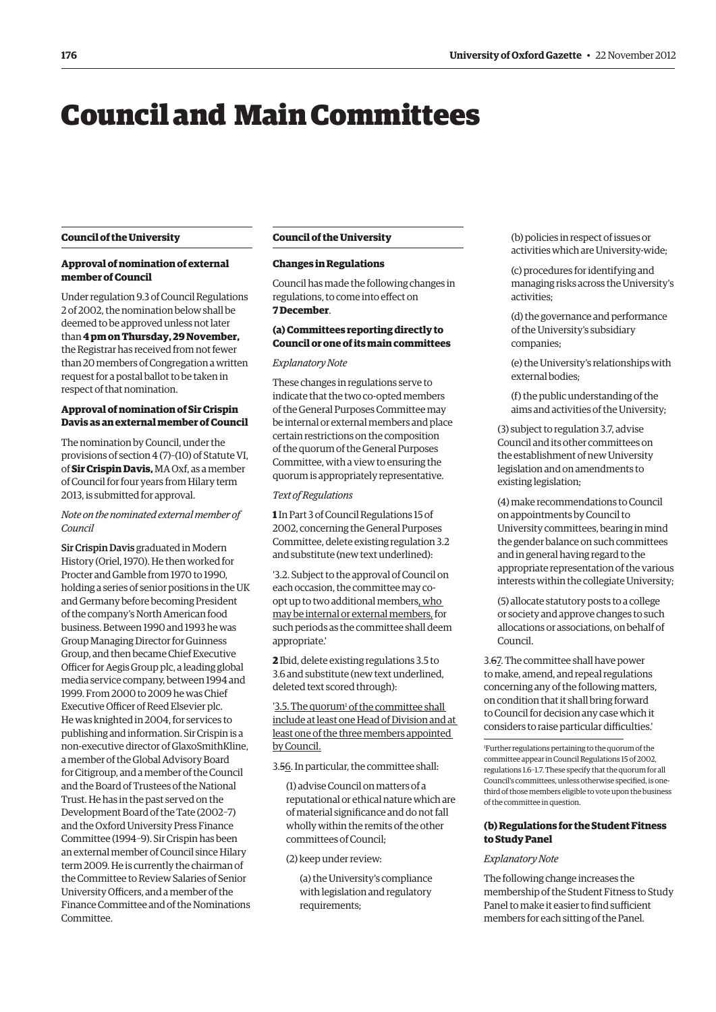# Council and Main Committees

#### **Council of the University**

# **Approval of nomination of external member of Council**

Under regulation 9.3 of Council Regulations 2 of 2002, the nomination below shall be deemed to be approved unless not later than **4 pm on Thursday, 29 November,** the Registrar has received from not fewer than 20 members of Congregation a written request for a postal ballot to be taken in respect of that nomination.

# **Approval of nomination of Sir Crispin Davis as an external member of Council**

The nomination by Council, under the provisions of section 4 (7)–(10) of Statute VI, of **Sir Crispin Davis,** MA Oxf, as a member of Council for four years from Hilary term 2013, is submitted for approval.

*Note on the nominated external member of Council*

Sir Crispin Davis graduated in Modern History (Oriel, 1970). He then worked for Procter and Gamble from 1970 to 1990, holding a series of senior positions in the UK and Germany before becoming President of the company's North American food business. Between 1990 and 1993 he was Group Managing Director for Guinness Group, and then became Chief Executive Officer for Aegis Group plc, a leading global media service company, between 1994 and 1999. From 2000 to 2009 he was Chief Executive Officer of Reed Elsevier plc. He was knighted in 2004, for services to publishing and information. Sir Crispin is a non-executive director of GlaxoSmithKline, a member of the Global Advisory Board for Citigroup, and a member of the Council and the Board of Trustees of the National Trust. He has in the past served on the Development Board of the Tate (2002–7) and the Oxford University Press Finance Committee (1994–9). Sir Crispin has been an external member of Council since Hilary term 2009. He is currently the chairman of the Committee to Review Salaries of Senior University Officers, and a member of the Finance Committee and of the Nominations Committee.

#### **Council of the University**

#### **Changes in Regulations**

Council has made the following changes in regulations, to come into effect on **7 December**.

## **(a) Committees reporting directly to Council or one of its main committees**

#### *Explanatory Note*

These changes in regulations serve to indicate that the two co-opted members of the General Purposes Committee may be internal or external members and place certain restrictions on the composition of the quorum of the General Purposes Committee, with a view to ensuring the quorum is appropriately representative.

#### *Text of Regulations*

**1** In Part 3 of Council Regulations 15 of 2002, concerning the General Purposes Committee, delete existing regulation 3.2 and substitute (new text underlined):

'3.2. Subject to the approval of Council on each occasion, the committee may coopt up to two additional members, who may be internal or external members, for such periods as the committee shall deem appropriate.'

**2** Ibid, delete existing regulations 3.5 to 3.6 and substitute (new text underlined, deleted text scored through):

'3.5. The quorum<sup>1</sup> of the committee shall include at least one Head of Division and at least one of the three members appointed by Council.

3.56. In particular, the committee shall:

(1) advise Council on matters of a reputational or ethical nature which are of material significance and do not fall wholly within the remits of the other committees of Council;

(2) keep under review:

(a) the University's compliance with legislation and regulatory requirements:

(b) policies in respect of issues or activities which are University-wide;

(c) procedures for identifying and managing risks across the University's activities;

(d) the governance and performance of the University's subsidiary companies;

(e) the University's relationships with external bodies;

(f) the public understanding of the aims and activities of the University;

(3) subject to regulation 3.7, advise Council and its other committees on the establishment of new University legislation and on amendments to existing legislation;

(4) make recommendations to Council on appointments by Council to University committees, bearing in mind the gender balance on such committees and in general having regard to the appropriate representation of the various interests within the collegiate University;

(5) allocate statutory posts to a college or society and approve changes to such allocations or associations, on behalf of Council.

3.67. The committee shall have power to make, amend, and repeal regulations concerning any of the following matters, on condition that it shall bring forward to Council for decision any case which it considers to raise particular difficulties.'

1 Further regulations pertaining to the quorum of the committee appear in Council Regulations 15 of 2002, regulations 1.6–1.7. These specify that the quorum for all Council's committees, unless otherwise specified, is onethird of those members eligible to vote upon the business of the committee in question.

#### **(b) Regulations for the Student Fitness to Study Panel**

#### *Explanatory Note*

The following change increases the membership of the Student Fitness to Study Panel to make it easier to find sufficient members for each sitting of the Panel.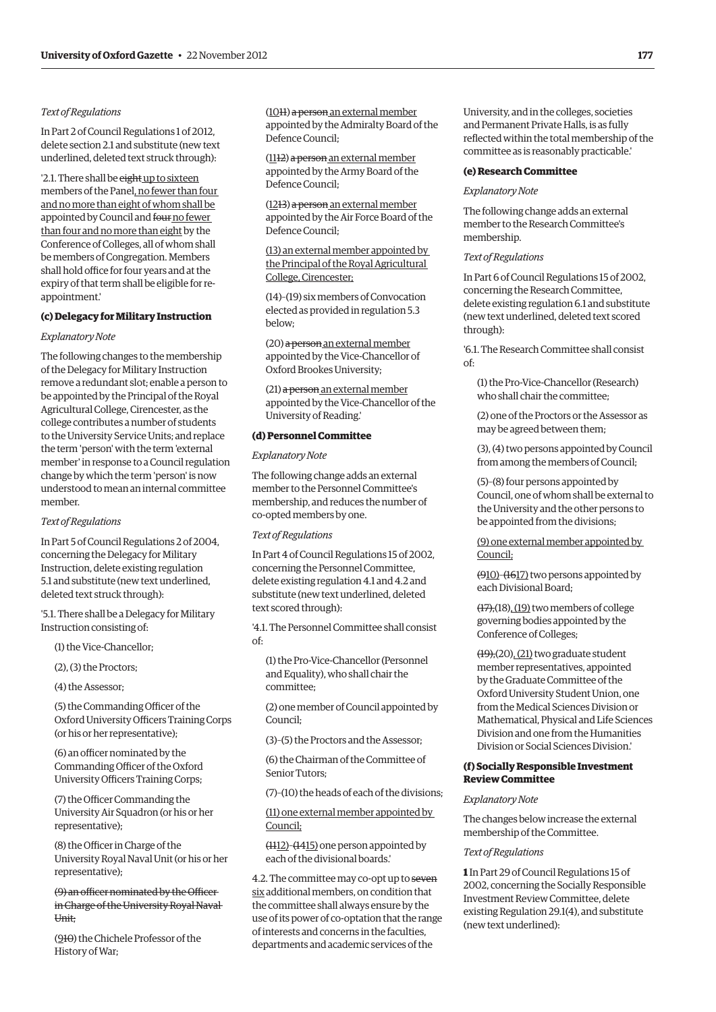# *Text of Regulations*

In Part 2 of Council Regulations 1 of 2012, delete section 2.1 and substitute (new text underlined, deleted text struck through):

'2.1. There shall be eight up to sixteen members of the Panel, no fewer than four and no more than eight of whom shall be appointed by Council and four no fewer than four and no more than eight by the Conference of Colleges, all of whom shall be members of Congregation. Members shall hold office for four years and at the expiry of that term shall be eligible for reappointment.'

# **(c) Delegacy for Military Instruction**

# *Explanatory Note*

The following changes to the membership of the Delegacy for Military Instruction remove a redundant slot; enable a person to be appointed by the Principal of the Royal Agricultural College, Cirencester, as the college contributes a number of students to the University Service Units; and replace the term 'person' with the term 'external member' in response to a Council regulation change by which the term 'person' is now understood to mean an internal committee member.

#### *Text of Regulations*

In Part 5 of Council Regulations 2 of 2004, concerning the Delegacy for Military Instruction, delete existing regulation 5.1 and substitute (new text underlined, deleted text struck through):

'5.1. There shall be a Delegacy for Military Instruction consisting of:

(1) the Vice-Chancellor;

(2), (3) the Proctors;

(4) the Assessor;

(5) the Commanding Officer of the Oxford University Officers Training Corps (or his or her representative);

(6) an officer nominated by the Commanding Officer of the Oxford University Officers Training Corps;

(7) the Officer Commanding the University Air Squadron (or his or her representative);

(8) the Officer in Charge of the University Royal Naval Unit (or his or her representative);

(9) an officer nominated by the Officer in Charge of the University Royal Naval Unit;

(910) the Chichele Professor of the History of War;

(1011) a person an external member appointed by the Admiralty Board of the Defence Council;

(1112) a person an external member appointed by the Army Board of the Defence Council;

(1213) a person an external member appointed by the Air Force Board of the Defence Council;

(13) an external member appointed by the Principal of the Royal Agricultural College, Cirencester;

(14)–(19) six members of Convocation elected as provided in regulation 5.3 below;

(20) a person an external member appointed by the Vice-Chancellor of Oxford Brookes University;

(21) a person an external member appointed by the Vice-Chancellor of the University of Reading.'

# **(d) Personnel Committee**

#### *Explanatory Note*

The following change adds an external member to the Personnel Committee's membership, and reduces the number of co-opted members by one.

#### *Text of Regulations*

In Part 4 of Council Regulations 15 of 2002, concerning the Personnel Committee, delete existing regulation 4.1 and 4.2 and substitute (new text underlined, deleted text scored through):

'4.1. The Personnel Committee shall consist of:

(1) the Pro-Vice-Chancellor (Personnel and Equality), who shall chair the committee;

(2) one member of Council appointed by Council;

(3)–(5) the Proctors and the Assessor;

(6) the Chairman of the Committee of Senior Tutors;

(7)–(10) the heads of each of the divisions;

(11) one external member appointed by Council;

(1112)–(1415) one person appointed by each of the divisional boards.'

4.2. The committee may co-opt up to seven six additional members, on condition that the committee shall always ensure by the use of its power of co-optation that the range of interests and concerns in the faculties, departments and academic services of the

University, and in the colleges, societies and Permanent Private Halls, is as fully reflected within the total membership of the committee as is reasonably practicable.'

#### **(e) Research Committee**

#### *Explanatory Note*

The following change adds an external member to the Research Committee's membership.

## *Text of Regulations*

In Part 6 of Council Regulations 15 of 2002, concerning the Research Committee, delete existing regulation 6.1 and substitute (new text underlined, deleted text scored through):

'6.1. The Research Committee shall consist  $\bigcap_{\alpha,\beta}$ 

(1) the Pro-Vice-Chancellor (Research) who shall chair the committee;

(2) one of the Proctors or the Assessor as may be agreed between them;

(3), (4) two persons appointed by Council from among the members of Council;

(5)–(8) four persons appointed by Council, one of whom shall be external to the University and the other persons to be appointed from the divisions;

(9) one external member appointed by Council;

(910)–(1617) two persons appointed by each Divisional Board;

(17),(18), (19) two members of college governing bodies appointed by the Conference of Colleges;

 $(19)$ , $(20)$ ,  $(21)$  two graduate student member representatives, appointed by the Graduate Committee of the Oxford University Student Union, one from the Medical Sciences Division or Mathematical, Physical and Life Sciences Division and one from the Humanities Division or Social Sciences Division.'

# **(f) Socially Responsible Investment Review Committee**

# *Explanatory Note*

The changes below increase the external membership of the Committee.

#### *Text of Regulations*

**1** In Part 29 of Council Regulations 15 of 2002, concerning the Socially Responsible Investment Review Committee, delete existing Regulation 29.1(4), and substitute (new text underlined):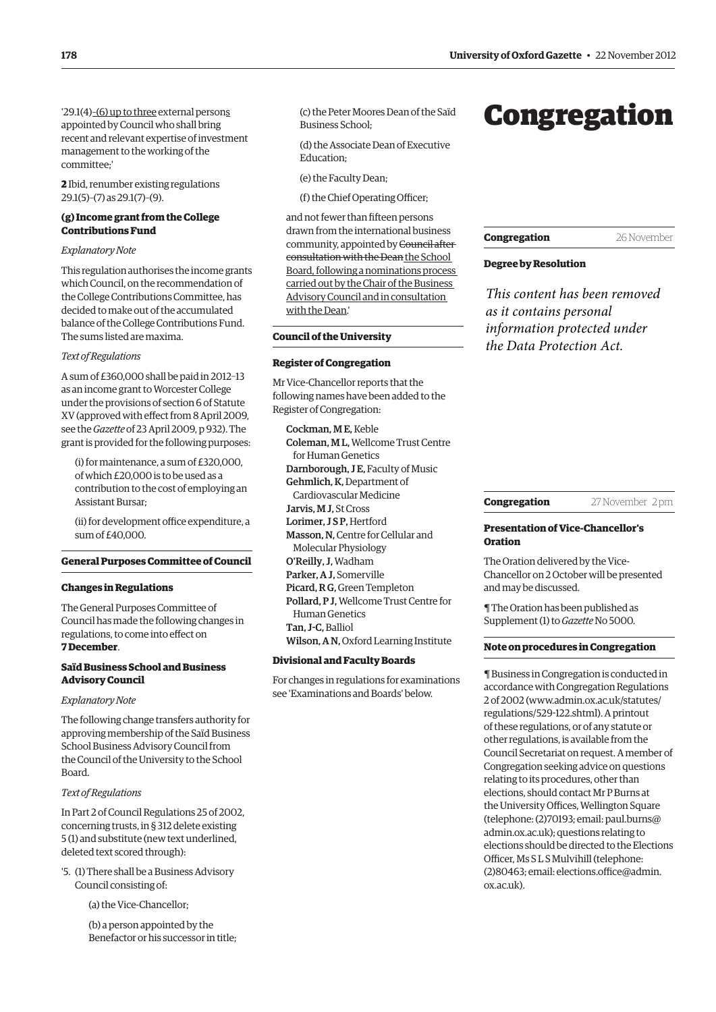'29.1(4)–(6) up to three external persons appointed by Council who shall bring recent and relevant expertise of investment management to the working of the committee;'

**2** Ibid, renumber existing regulations 29.1(5)–(7) as 29.1(7)–(9).

# **(g) Income grant from the College Contributions Fund**

#### *Explanatory Note*

This regulation authorises the income grants which Council, on the recommendation of the College Contributions Committee, has decided to make out of the accumulated balance of the College Contributions Fund. The sums listed are maxima.

## *Text of Regulations*

A sum of £360,000 shall be paid in 2012–13 as an income grant to Worcester College under the provisions of section 6 of Statute XV (approved with effect from 8 April 2009, see the *Gazette* of 23 April 2009, p 932). The grant is provided for the following purposes:

(i) for maintenance, a sum of £320,000, of which £20,000 is to be used as a contribution to the cost of employing an Assistant Bursar;

(ii) for development office expenditure, a sum of £40,000.

# **General Purposes Committee of Council**

#### **Changes in Regulations**

The General Purposes Committee of Council has made the following changes in regulations, to come into effect on **7 December**.

# **Saïd Business School and Business Advisory Council**

#### *Explanatory Note*

The following change transfers authority for approving membership of the Saïd Business School Business Advisory Council from the Council of the University to the School Board.

#### *Text of Regulations*

In Part 2 of Council Regulations 25 of 2002, concerning trusts, in § 312 delete existing 5 (1) and substitute (new text underlined, deleted text scored through):

'5. (1) There shall be a Business Advisory Council consisting of:

(a) the Vice-Chancellor;

(b) a person appointed by the Benefactor or his successor in title; (c) the Peter Moores Dean of the Saïd Business School;

(d) the Associate Dean of Executive Education;

(e) the Faculty Dean;

(f) the Chief Operating Officer;

and not fewer than fifteen persons drawn from the international business community, appointed by Council after consultation with the Dean the School Board, following a nominations process carried out by the Chair of the Business Advisory Council and in consultation with the Dean.'

# **Council of the University**

#### **Register of Congregation**

Mr Vice-Chancellor reports that the following names have been added to the Register of Congregation:

Cockman, M E, Keble Coleman, M L, Wellcome Trust Centre for Human Genetics Darnborough, J E, Faculty of Music Gehmlich, K, Department of Cardiovascular Medicine Jarvis, M J, St Cross Lorimer, JSP. Hertford Masson, N, Centre for Cellular and Molecular Physiology O'Reilly, J, Wadham Parker, A J, Somerville Picard, R G, Green Templeton Pollard, P J, Wellcome Trust Centre for Human Genetics Tan, J-C, Balliol

Wilson, A N, Oxford Learning Institute

#### **Divisional and Faculty Boards**

For changes in regulations for examinations see 'Examinations and Boards' below.

# Congregation

| Congregation | 26 November |
|--------------|-------------|
|--------------|-------------|

# **Degree by Resolution**

*This content has been removed as it contains personal information protected under the Data Protection Act.*

| Congregation | 27 November 2 pm |  |
|--------------|------------------|--|
|              |                  |  |

## **Presentation of Vice-Chancellor's Oration**

The Oration delivered by the Vice-Chancellor on 2 October will be presented and may be discussed.

¶ The Oration has been published as Supplement (1) to *Gazette* No 5000.

#### **Note on procedures in Congregation**

¶ Business in Congregation is conducted in accordance with Congregation Regulations 2 of 2002 (www.admin.ox.ac.uk/statutes/ regulations/529-122.shtml). A printout of these regulations, or of any statute or other regulations, is available from the Council Secretariat on request. A member of Congregation seeking advice on questions relating to its procedures, other than elections, should contact Mr P Burns at the University Offices, Wellington Square (telephone: (2)70193; email: paul.burns@ admin.ox.ac.uk); questions relating to elections should be directed to the Elections Officer, Ms S L S Mulvihill (telephone: (2)80463; email: elections.office@admin. ox.ac.uk).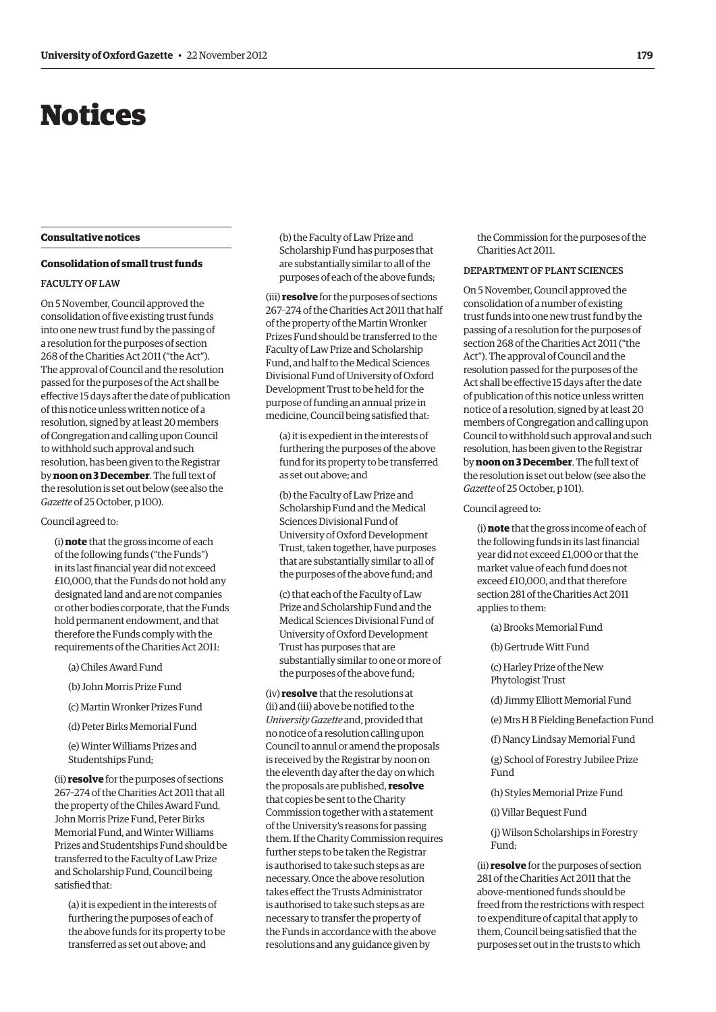# Notices

#### **Consultative notices**

#### **Consolidation of small trust funds**

#### Faculty of Law

On 5 November, Council approved the consolidation of five existing trust funds into one new trust fund by the passing of a resolution for the purposes of section 268 of the Charities Act 2011 ("the Act"). The approval of Council and the resolution passed for the purposes of the Act shall be effective 15 days after the date of publication of this notice unless written notice of a resolution, signed by at least 20 members of Congregation and calling upon Council to withhold such approval and such resolution, has been given to the Registrar by **noon on 3 December**. The full text of the resolution is set out below (see also the *Gazette* of 25 October, p 100).

#### Council agreed to:

(i) **note** that the gross income of each of the following funds ("the Funds") in its last financial year did not exceed £10,000, that the Funds do not hold any designated land and are not companies or other bodies corporate, that the Funds hold permanent endowment, and that therefore the Funds comply with the requirements of the Charities Act 2011:

(a) Chiles Award Fund

- (b) John Morris Prize Fund
- (c) Martin Wronker Prizes Fund
- (d) Peter Birks Memorial Fund

(e) Winter Williams Prizes and Studentships Fund;

(ii) **resolve** for the purposes of sections 267–274 of the Charities Act 2011 that all the property of the Chiles Award Fund, John Morris Prize Fund, Peter Birks Memorial Fund, and Winter Williams Prizes and Studentships Fund should be transferred to the Faculty of Law Prize and Scholarship Fund, Council being satisfied that:

(a) it is expedient in the interests of furthering the purposes of each of the above funds for its property to be transferred as set out above; and

(b) the Faculty of Law Prize and Scholarship Fund has purposes that are substantially similar to all of the purposes of each of the above funds;

(iii) **resolve** for the purposes of sections 267–274 of the Charities Act 2011 that half of the property of the Martin Wronker Prizes Fund should be transferred to the Faculty of Law Prize and Scholarship Fund, and half to the Medical Sciences Divisional Fund of University of Oxford Development Trust to be held for the purpose of funding an annual prize in medicine, Council being satisfied that:

(a) it is expedient in the interests of furthering the purposes of the above fund for its property to be transferred as set out above; and

(b) the Faculty of Law Prize and Scholarship Fund and the Medical Sciences Divisional Fund of University of Oxford Development Trust, taken together, have purposes that are substantially similar to all of the purposes of the above fund; and

(c) that each of the Faculty of Law Prize and Scholarship Fund and the Medical Sciences Divisional Fund of University of Oxford Development Trust has purposes that are substantially similar to one or more of the purposes of the above fund;

(iv) **resolve** that the resolutions at (ii) and (iii) above be notified to the *University Gazette* and, provided that no notice of a resolution calling upon Council to annul or amend the proposals is received by the Registrar by noon on the eleventh day after the day on which the proposals are published, **resolve** that copies be sent to the Charity Commission together with a statement of the University's reasons for passing them. If the Charity Commission requires further steps to be taken the Registrar is authorised to take such steps as are necessary. Once the above resolution takes effect the Trusts Administrator is authorised to take such steps as are necessary to transfer the property of the Funds in accordance with the above resolutions and any guidance given by

the Commission for the purposes of the Charities Act 2011.

#### Departmentof Plant Sciences

On 5 November, Council approved the consolidation of a number of existing trust funds into one new trust fund by the passing of a resolution for the purposes of section 268 of the Charities Act 2011 ("the Act"). The approval of Council and the resolution passed for the purposes of the Act shall be effective 15 days after the date of publication of this notice unless written notice of a resolution, signed by at least 20 members of Congregation and calling upon Council to withhold such approval and such resolution, has been given to the Registrar by **noon on 3 December**. The full text of the resolution is set out below (see also the *Gazette* of 25 October, p 101).

#### Council agreed to:

(i) **note** that the gross income of each of the following funds in its last financial year did not exceed £1,000 or that the market value of each fund does not exceed £10,000, and that therefore section 281 of the Charities Act 2011 applies to them:

(a) Brooks Memorial Fund

(b) Gertrude Witt Fund

(c) Harley Prize of the New Phytologist Trust

(d) Jimmy Elliott Memorial Fund

(e) Mrs H B Fielding Benefaction Fund

(f) Nancy Lindsay Memorial Fund

(g) School of Forestry Jubilee Prize Fund

(h) Styles Memorial Prize Fund

(i) Villar Bequest Fund

(j) Wilson Scholarships in Forestry Fund;

(ii) **resolve** for the purposes of section 281 of the Charities Act 2011 that the above-mentioned funds should be freed from the restrictions with respect to expenditure of capital that apply to them, Council being satisfied that the purposes set out in the trusts to which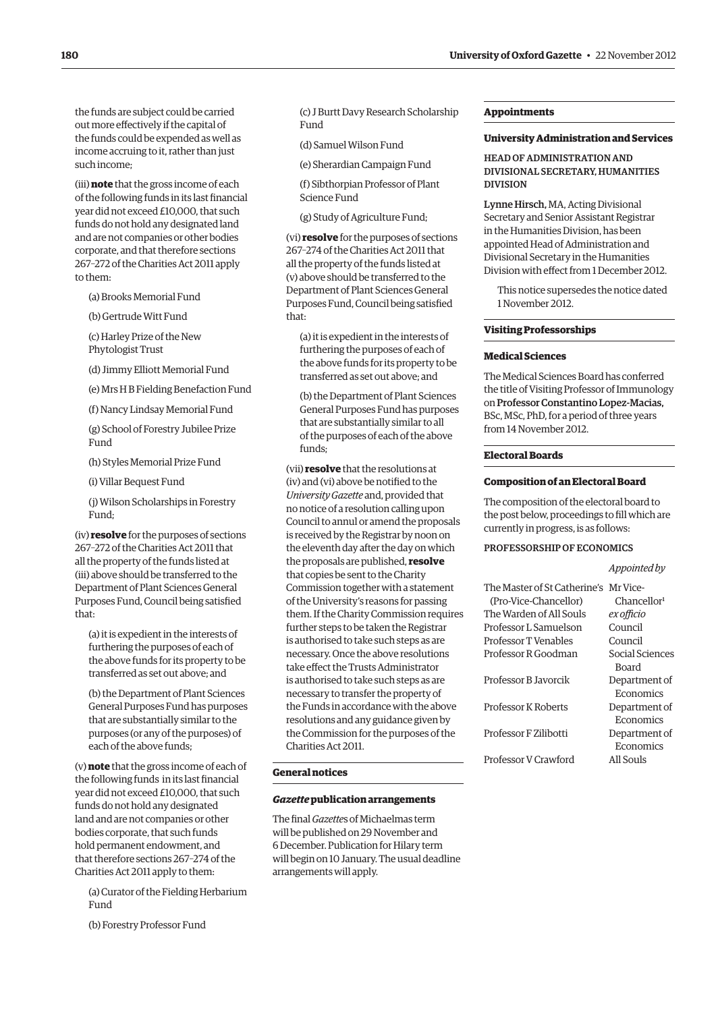the funds are subject could be carried out more effectively if the capital of the funds could be expended as well as income accruing to it, rather than just such income;

(iii) **note** that the gross income of each of the following funds in its last financial year did not exceed £10,000, that such funds do not hold any designated land and are not companies or other bodies corporate, and that therefore sections 267–272 of the Charities Act 2011 apply to them:

(a) Brooks Memorial Fund

(b) Gertrude Witt Fund

(c) Harley Prize of the New Phytologist Trust

(d) Jimmy Elliott Memorial Fund

(e) Mrs H B Fielding Benefaction Fund

(f) Nancy Lindsay Memorial Fund

(g) School of Forestry Jubilee Prize Fund

(h) Styles Memorial Prize Fund

(i) Villar Bequest Fund

(j) Wilson Scholarships in Forestry Fund;

(iv) **resolve** for the purposes of sections 267–272 of the Charities Act 2011 that all the property of the funds listed at (iii) above should be transferred to the Department of Plant Sciences General Purposes Fund, Council being satisfied that:

(a) it is expedient in the interests of furthering the purposes of each of the above funds for its property to be transferred as set out above; and

(b) the Department of Plant Sciences General Purposes Fund has purposes that are substantially similar to the purposes (or any of the purposes) of each of the above funds;

(v) **note** that the gross income of each of the following funds in its last financial year did not exceed £10,000, that such funds do not hold any designated land and are not companies or other bodies corporate, that such funds hold permanent endowment, and that therefore sections 267–274 of the Charities Act 2011 apply to them:

(a) Curator of the Fielding Herbarium Fund

(b) Forestry Professor Fund

(c) J Burtt Davy Research Scholarship Fund

(d) Samuel Wilson Fund

(e) Sherardian Campaign Fund

(f) Sibthorpian Professor of Plant Science Fund

(g) Study of Agriculture Fund;

(vi) **resolve** for the purposes of sections 267–274 of the Charities Act 2011 that all the property of the funds listed at (v) above should be transferred to the Department of Plant Sciences General Purposes Fund, Council being satisfied that:

(a) it is expedient in the interests of furthering the purposes of each of the above funds for its property to be transferred as set out above; and

(b) the Department of Plant Sciences General Purposes Fund has purposes that are substantially similar to all of the purposes of each of the above funds;

(vii) **resolve** that the resolutions at (iv) and (vi) above be notified to the *University Gazette* and, provided that no notice of a resolution calling upon Council to annul or amend the proposals is received by the Registrar by noon on the eleventh day after the day on which the proposals are published, **resolve** that copies be sent to the Charity Commission together with a statement of the University's reasons for passing them. If the Charity Commission requires further steps to be taken the Registrar is authorised to take such steps as are necessary. Once the above resolutions take effect the Trusts Administrator is authorised to take such steps as are necessary to transfer the property of the Funds in accordance with the above resolutions and any guidance given by the Commission for the purposes of the Charities Act 2011.

#### **General notices**

# *Gazette* **publication arrangements**

The final *Gazette*s of Michaelmas term will be published on 29 November and 6 December. Publication for Hilary term will begin on 10 January. The usual deadline arrangements will apply.

#### **Appointments**

#### **University Administration and Services**

# Headof Administration and Divisional Secretary, Humanities Division

Lynne Hirsch, MA, Acting Divisional Secretary and Senior Assistant Registrar in the Humanities Division, has been appointed Head of Administration and Divisional Secretary in the Humanities Division with effect from 1 December 2012.

This notice supersedes the notice dated 1 November 2012.

#### **Visiting Professorships**

#### **Medical Sciences**

The Medical Sciences Board has conferred the title of Visiting Professor of Immunology on Professor Constantino Lopez-Macias, BSc, MSc, PhD, for a period of three years from 14 November 2012.

#### **Electoral Boards**

#### **Composition of an Electoral Board**

The composition of the electoral board to the post below, proceedings to fill which are currently in progress, is as follows:

# Professorshipof Economics

#### *Appointed by*

| The Master of St Catherine's Mr Vice- |                         |
|---------------------------------------|-------------------------|
| (Pro-Vice-Chancellor)                 | Chancellor <sup>1</sup> |
| The Warden of All Souls               | ex officio              |
| Professor L.Samuelson                 | Council                 |
| Professor T Venables                  | Council                 |
| Professor R Goodman                   | Social Sciences         |
|                                       | Board                   |
| Professor B Javorcik                  | Department of           |
|                                       | Economics               |
| <b>Professor K Roberts</b>            | Department of           |
|                                       | Economics               |
| Professor F Zilibotti                 | Department of           |
|                                       | Economics               |
| Professor V Crawford                  | All Souls               |
|                                       |                         |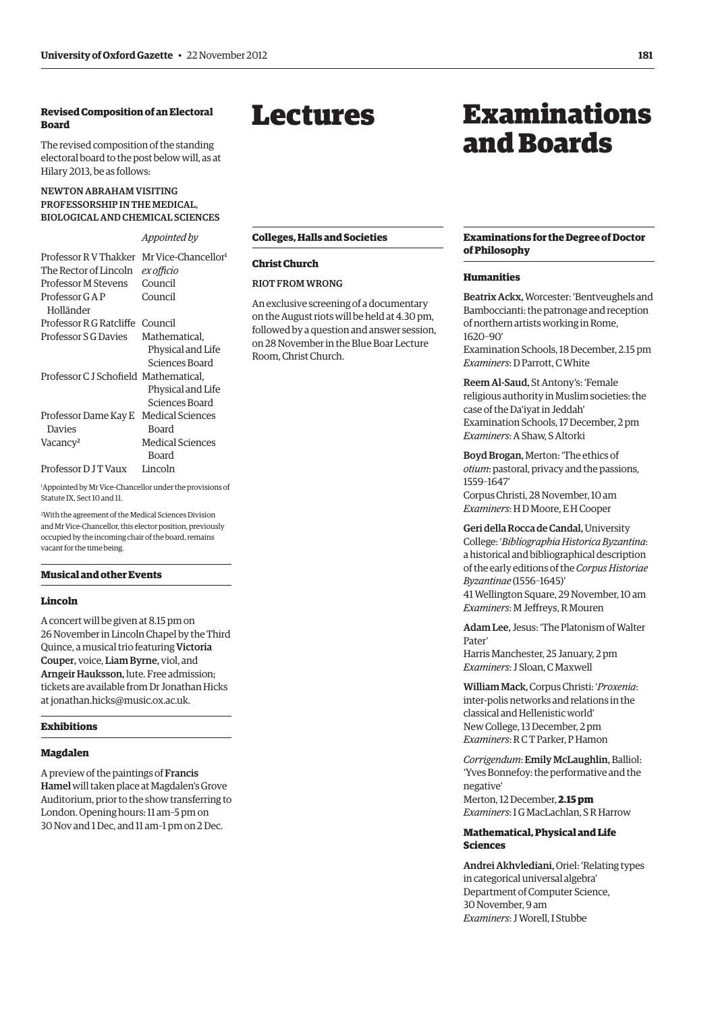# **Revised Composition of an Electoral Board**

The revised composition of the standing electoral board to the post below will, as at Hilary 2013, be as follows:

# Newton Abraham Visiting Professorship in the Medical, Biologicaland Chemical Sciences

# *Appointed by*

| Professor R V Thakker                | Mr Vice-Chancellor <sup>1</sup> |
|--------------------------------------|---------------------------------|
| The Rector of Lincoln                | ex officio                      |
| <b>Professor M Stevens</b>           | Council                         |
| Professor G A P                      | Council                         |
| Holländer                            |                                 |
| Professor R G Ratcliffe Council      |                                 |
| Professor S G Davies                 | Mathematical.                   |
|                                      | Physical and Life               |
|                                      | Sciences Board                  |
| Professor CJ Schofield Mathematical, |                                 |
|                                      | Physical and Life               |
|                                      | Sciences Board                  |
| Professor Dame Kay E                 | Medical Sciences                |
| Davies                               | Board                           |
| Vacancy <sup>2</sup>                 | Medical Sciences                |
|                                      | Board                           |
| Professor D J T Vaux                 | Lincoln                         |

1 Appointed by Mr Vice-Chancellor under the provisions of Statute IX, Sect 10 and 11.

2 With the agreement of the Medical Sciences Division and Mr Vice-Chancellor, this elector position, previously occupied by the incoming chair of the board, remains vacant for the time being.

# **Musical and other Events**

#### **Lincoln**

A concert will be given at 8.15 pm on 26 November in Lincoln Chapel by the Third Quince, a musical trio featuring Victoria Couper, voice, Liam Byrne, viol, and Arngeir Hauksson, lute. Free admission; tickets are available from Dr Jonathan Hicks at jonathan.hicks@music.ox.ac.uk.

## **Exhibitions**

# **Magdalen**

A preview of the paintings of Francis Hamel will taken place at Magdalen's Grove Auditorium, prior to the show transferring to London. Opening hours: 11 am–5 pm on 30 Nov and 1 Dec, and 11 am–1 pm on 2 Dec.

# Lectures

# Examinations and Boards

# **Colleges, Halls and Societies**

# **Christ Church**

# Riot from Wrong

An exclusive screening of a documentary on the August riots will be held at 4.30 pm, followed by a question and answer session, on 28 November in the Blue Boar Lecture Room, Christ Church.

#### **Examinations for the Degree of Doctor of Philosophy**

#### **Humanities**

Beatrix Ackx, Worcester: 'Bentveughels and Bamboccianti: the patronage and reception of northern artists working in Rome, 1620–90'

Examination Schools, 18 December, 2.15 pm *Examiners*: D Parrott, C White

Reem Al-Saud, St Antony's: 'Female religious authority in Muslim societies: the case of the Da'iyat in Jeddah' Examination Schools, 17 December, 2 pm *Examiners*: A Shaw, S Altorki

Boyd Brogan, Merton: 'The ethics of *otium*: pastoral, privacy and the passions, 1559–1647'

Corpus Christi, 28 November, 10 am *Examiners*: H D Moore, E H Cooper

Geri della Rocca de Candal, University College: '*Bibliographia Historica Byzantina*: a historical and bibliographical description of the early editions of the *Corpus Historiae Byzantinae* (1556–1645)' 41 Wellington Square, 29 November, 10 am *Examiners*: M Jeffreys, R Mouren

Adam Lee, Jesus: 'The Platonism of Walter Pater' Harris Manchester, 25 January, 2 pm *Examiners*: J Sloan, C Maxwell

William Mack, Corpus Christi: '*Proxenia*: inter-polis networks and relations in the classical and Hellenistic world' New College, 13 December, 2 pm *Examiners*: R C T Parker, P Hamon

*Corrigendum*: Emily McLaughlin, Balliol: 'Yves Bonnefoy: the performative and the negative' Merton, 12 December, **2.15 pm** *Examiners*: I G MacLachlan, SR Harrow

# **Mathematical, Physical and Life Sciences**

Andrei Akhvlediani, Oriel: 'Relating types in categorical universal algebra' Department of Computer Science, 30 November, 9 am *Examiners*: J Worell, I Stubbe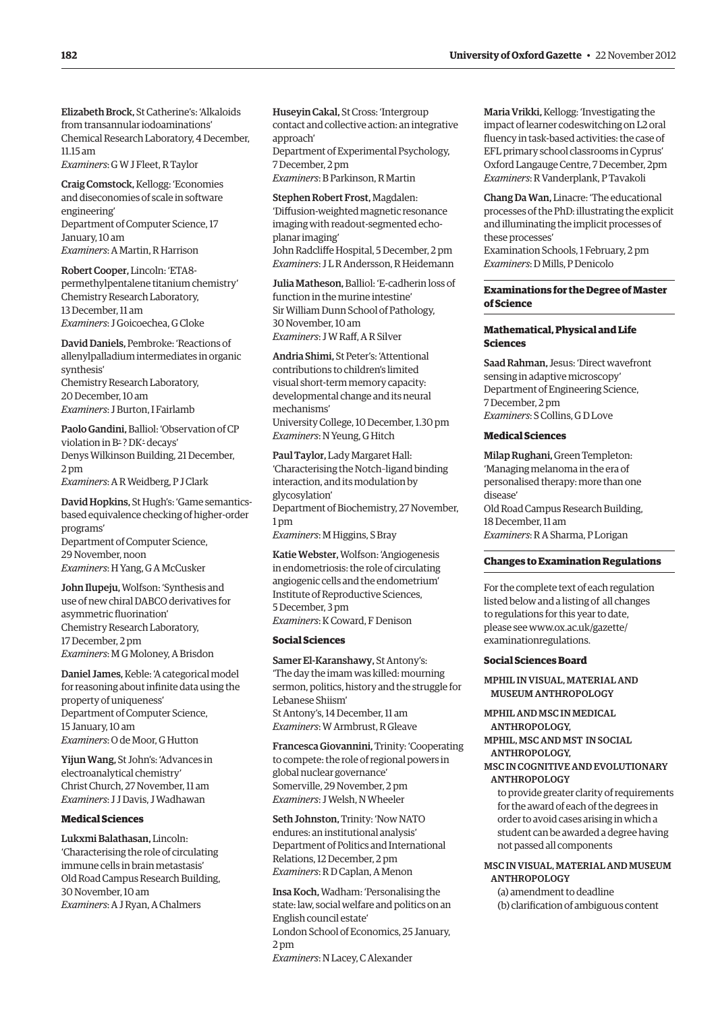Elizabeth Brock, St Catherine's: 'Alkaloids from transannular iodoaminations' Chemical Research Laboratory, 4 December, 11.15 am

*Examiners*: G W J Fleet, R Taylor

Craig Comstock, Kellogg: 'Economies and diseconomies of scale in software engineering' Department of Computer Science, 17 January, 10 am *Examiners*: A Martin, R Harrison

Robert Cooper, Lincoln: 'ETA8 permethylpentalene titanium chemistry' Chemistry Research Laboratory, 13 December, 11 am *Examiners*: J Goicoechea, G Cloke

David Daniels, Pembroke: 'Reactions of allenylpalladium intermediates in organic synthesis' Chemistry Research Laboratory, 20 December, 10 am *Examiners*: J Burton, I Fairlamb

Paolo Gandini, Balliol: 'Observation of CP violation in B<sup>+</sup>? DK<sup>+</sup> decays' Denys Wilkinson Building, 21 December, 2 pm *Examiners*: A R Weidberg, P J Clark

David Hopkins, St Hugh's: 'Game semanticsbased equivalence checking of higher-order programs' Department of Computer Science, 29 November, noon

*Examiners*: H Yang, G A McCusker

John Ilupeju, Wolfson: 'Synthesis and use of new chiral DABCO derivatives for asymmetric fluorination' Chemistry Research Laboratory, 17 December, 2 pm *Examiners*: M G Moloney, A Brisdon

Daniel James, Keble: 'A categorical model for reasoning about infinite data using the property of uniqueness' Department of Computer Science, 15 January, 10 am *Examiners*: O de Moor, G Hutton

Yijun Wang, St John's: 'Advances in electroanalytical chemistry' Christ Church, 27 November, 11 am *Examiners*: J J Davis, J Wadhawan

#### **Medical Sciences**

Lukxmi Balathasan, Lincoln: 'Characterising the role of circulating immune cells in brain metastasis' Old Road Campus Research Building, 30 November, 10 am *Examiners*: A J Ryan, A Chalmers

Huseyin Cakal, St Cross: 'Intergroup contact and collective action: an integrative approach'

Department of Experimental Psychology, 7 December, 2 pm *Examiners*: B Parkinson, R Martin

Stephen Robert Frost, Magdalen: 'Diffusion-weighted magnetic resonance imaging with readout-segmented echoplanar imaging' John Radcliffe Hospital, 5 December, 2 pm *Examiners*: J LRAndersson, R Heidemann

Julia Matheson, Balliol: 'E-cadherin loss of function in the murine intestine' Sir William Dunn School of Pathology, 30 November, 10 am *Examiners*: J W Raff, A R Silver

Andria Shimi, St Peter's: 'Attentional contributions to children's limited visual short-term memory capacity: developmental change and its neural mechanisms' University College, 10 December, 1.30 pm *Examiners*: N Yeung, G Hitch

Paul Taylor, Lady Margaret Hall: 'Characterising the Notch–ligand binding interaction, and its modulation by glycosylation' Department of Biochemistry, 27 November, 1 pm *Examiners*: M Higgins, S Bray

Katie Webster, Wolfson: 'Angiogenesis in endometriosis: the role of circulating angiogenic cells and the endometrium' Institute of Reproductive Sciences, 5 December, 3 pm *Examiners*: K Coward, F Denison

#### **Social Sciences**

Samer El-Karanshawy, St Antony's: 'The day the imam was killed: mourning sermon, politics, history and the struggle for Lebanese Shiism' St Antony's, 14 December, 11 am *Examiners*: W Armbrust, R Gleave

Francesca Giovannini, Trinity: 'Cooperating to compete: the role of regional powers in global nuclear governance' Somerville, 29 November, 2 pm *Examiners*: J Welsh, N Wheeler

Seth Johnston, Trinity: 'Now NATO endures: an institutional analysis' Department of Politics and International Relations, 12 December, 2 pm *Examiners*: R D Caplan, A Menon

Insa Koch, Wadham: 'Personalising the state: law, social welfare and politics on an English council estate' London School of Economics, 25 January, 2 pm *Examiners*: N Lacey, C Alexander

Maria Vrikki, Kellogg: 'Investigating the impact of learner codeswitching on L2 oral fluency in task-based activities: the case of EFL primary school classrooms in Cyprus' Oxford Langauge Centre, 7 December, 2pm *Examiners*: R Vanderplank, P Tavakoli

Chang Da Wan, Linacre: 'The educational processes of the PhD: illustrating the explicit and illuminating the implicit processes of these processes' Examination Schools, 1 February, 2 pm *Examiners*: D Mills, P Denicolo

**Examinations for the Degree of Master of Science**

#### **Mathematical, Physical and Life Sciences**

Saad Rahman, Jesus: 'Direct wavefront sensing in adaptive microscopy' Department of Engineering Science, 7 December, 2 pm *Examiners*: S Collins, G DLove

#### **Medical Sciences**

Milap Rughani, Green Templeton: 'Managing melanoma in the era of personalised therapy: more than one disease' Old Road Campus Research Building, 18 December, 11 am *Examiners*: RASharma, P Lorigan

# **Changes to Examination Regulations**

For the complete text of each regulation listed below and a listing of all changes to regulations for this year to date, please see www.ox.ac.uk/gazette/ examinationregulations.

#### **Social Sciences Board**

MPhil in Visual, Materialand MUSEUM ANTHROPOLOGY

MPhiland msc in Medical Anthropology,

MPhil, mscand mst in Social Anthropology,

MSc in Cognitiveand Evolutionary **ANTHROPOLOGY** 

to provide greater clarity of requirements for the award of each of the degrees in order to avoid cases arising in which a student can be awarded a degree having not passed all components

# MSc in Visual, Materialand Museum Anthropology

(a) amendment to deadline (b) clarification of ambiguous content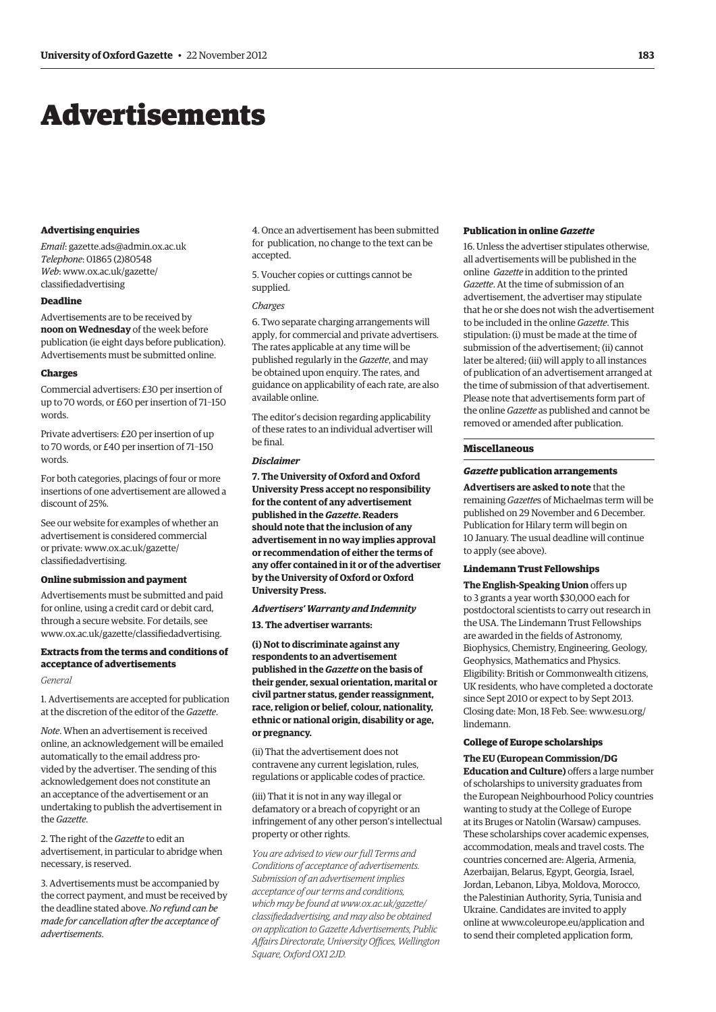# Advertisements

#### **Advertising enquiries**

*Email*: gazette.ads@admin.ox.ac.uk *Telephone*: 01865 (2)80548 *Web*: www.ox.ac.uk/gazette/ classifiedadvertising

# **Deadline**

Advertisements are to be received by **noon on Wednesday** of the week before publication (ie eight days before publication). Advertisements must be submitted online.

#### **Charges**

Commercial advertisers: £30 per insertion of up to 70 words, or £60 per insertion of 71–150 words.

Private advertisers: £20 per insertion of up to 70 words, or £40 per insertion of 71–150 words.

For both categories, placings of four or more insertions of one advertisement are allowed a discount of 25%.

See our website for examples of whether an advertisement is considered commercial or private: www.ox.ac.uk/gazette/ classifiedadvertising.

#### **Online submission and payment**

Advertisements must be submitted and paid for online, using a credit card or debit card, through a secure website. For details, see www.ox.ac.uk/gazette/classifiedadvertising.

# **Extracts from the terms and conditions of acceptance of advertisements**

#### *General*

1. Advertisements are accepted for publication at the discretion of the editor of the *Gazette*.

*Note*. When an advertisement is received online, an acknowledgement will be emailed automatically to the email address provided by the advertiser. The sending of this acknowledgement does not constitute an an acceptance of the advertisement or an undertaking to publish the advertisement in the *Gazette*.

2. The right of the *Gazette* to edit an advertisement, in particular to abridge when necessary, is reserved.

3. Advertisements must be accompanied by the correct payment, and must be received by the deadline stated above. *No refund can be made for cancellation after the acceptance of advertisements*.

4. Once an advertisement has been submitted for publication, no change to the text can be accepted.

5. Voucher copies or cuttings cannot be supplied.

#### *Charges*

6. Two separate charging arrangements will apply, for commercial and private advertisers. The rates applicable at any time will be published regularly in the *Gazette*, and may be obtained upon enquiry. The rates, and guidance on applicability of each rate, are also available online.

The editor's decision regarding applicability of these rates to an individual advertiser will be final.

#### *Disclaimer*

**7. The University of Oxford and Oxford University Press accept no responsibility for the content of any advertisement published in the** *Gazette***. Readers should note that the inclusion of any advertisement in no way implies approval or recommendation of either the terms of any offer contained in it or of the advertiser by the University of Oxford or Oxford University Press.**

*Advertisers' Warranty and Indemnity* **13. The advertiser warrants:**

**(i) Not to discriminate against any respondents to an advertisement published in the** *Gazette* **on the basis of their gender, sexual orientation, marital or civil partner status, gender reassignment, race, religion or belief, colour, nationality, ethnic or national origin, disability or age, or pregnancy.**

(ii) That the advertisement does not contravene any current legislation, rules, regulations or applicable codes of practice.

(iii) That it is not in any way illegal or defamatory or a breach of copyright or an infringement of any other person's intellectual property or other rights.

*You are advised to view our full Terms and Conditions of acceptance of advertisements. Submission of an advertisement implies acceptance of our terms and conditions, which may be found at www.ox.ac.uk/gazette/ classifiedadvertising, and may also be obtained on application to Gazette Advertisements, Public Affairs Directorate, University Offices, Wellington Square, Oxford OX1 2JD.*

#### **Publication in online** *Gazette*

16. Unless the advertiser stipulates otherwise, all advertisements will be published in the online *Gazette* in addition to the printed *Gazette*. At the time of submission of an advertisement, the advertiser may stipulate that he or she does not wish the advertisement to be included in the online *Gazette*. This stipulation: (i) must be made at the time of submission of the advertisement; (ii) cannot later be altered; (iii) will apply to all instances of publication of an advertisement arranged at the time of submission of that advertisement. Please note that advertisements form part of the online *Gazette* as published and cannot be removed or amended after publication.

#### **Miscellaneous**

#### *Gazette* **publication arrangements**

**Advertisers are asked to note** that the remaining *Gazette*s of Michaelmas term will be published on 29 November and 6 December. Publication for Hilary term will begin on 10 January. The usual deadline will continue to apply (see above).

#### **Lindemann Trust Fellowships**

**The English-Speaking Union** offers up to 3 grants a year worth \$30,000 each for postdoctoral scientists to carry out research in the USA. The Lindemann Trust Fellowships are awarded in the fields of Astronomy, Biophysics, Chemistry, Engineering, Geology, Geophysics, Mathematics and Physics. Eligibility: British or Commonwealth citizens, UK residents, who have completed a doctorate since Sept 2010 or expect to by Sept 2013. Closing date: Mon, 18 Feb. See: www.esu.org/ lindemann.

## **College of Europe scholarships**

**The EU (European Commission/DG Education and Culture)** offers a large number of scholarships to university graduates from the European Neighbourhood Policy countries wanting to study at the College of Europe at its Bruges or Natolin (Warsaw) campuses. These scholarships cover academic expenses, accommodation, meals and travel costs. The countries concerned are: Algeria, Armenia, Azerbaijan, Belarus, Egypt, Georgia, Israel, Jordan, Lebanon, Libya, Moldova, Morocco, the Palestinian Authority, Syria, Tunisia and Ukraine. Candidates are invited to apply online at www.coleurope.eu/application and to send their completed application form,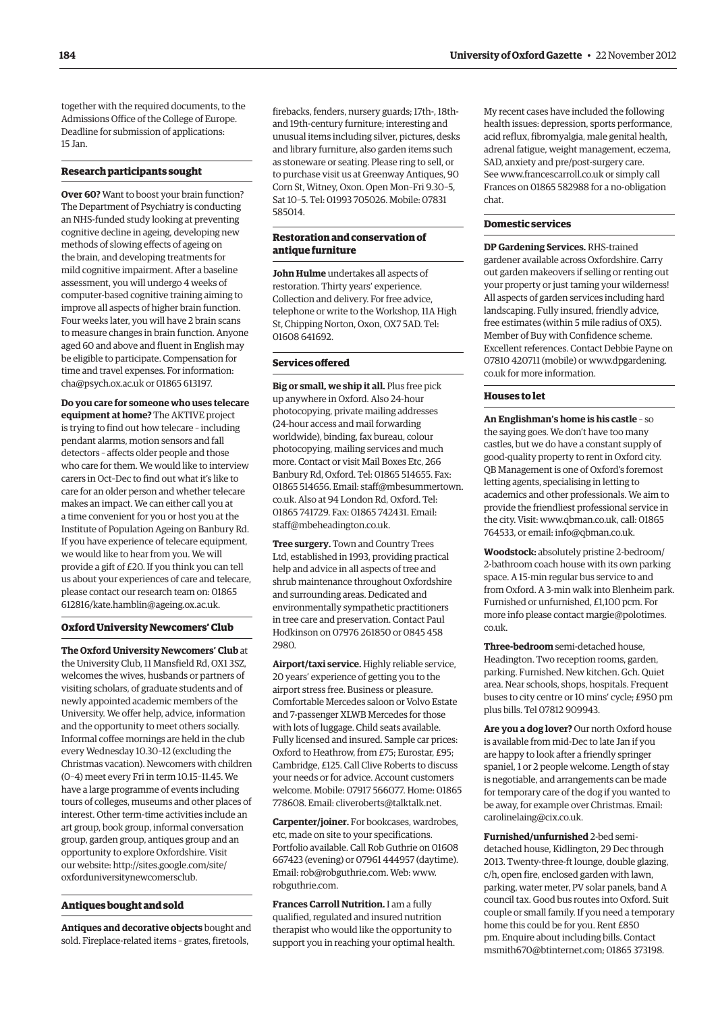together with the required documents, to the Admissions Office of the College of Europe. Deadline for submission of applications: 15 Jan.

#### **Research participants sought**

**Over 60?** Want to boost your brain function? The Department of Psychiatry is conducting an NHS-funded study looking at preventing cognitive decline in ageing, developing new methods of slowing effects of ageing on the brain, and developing treatments for mild cognitive impairment. After a baseline assessment, you will undergo 4 weeks of computer-based cognitive training aiming to improve all aspects of higher brain function. Four weeks later, you will have 2 brain scans to measure changes in brain function. Anyone aged 60 and above and fluent in English may be eligible to participate. Compensation for time and travel expenses. For information: cha@psych.ox.ac.uk or 01865 613197.

**Do you care for someone who uses telecare equipment at home?** The AKTIVE project is trying to find out how telecare – including pendant alarms, motion sensors and fall detectors – affects older people and those who care for them. We would like to interview carers in Oct–Dec to find out what it's like to care for an older person and whether telecare makes an impact. We can either call you at a time convenient for you or host you at the Institute of Population Ageing on Banbury Rd. If you have experience of telecare equipment, we would like to hear from you. We will provide a gift of £20. If you think you can tell us about your experiences of care and telecare, please contact our research team on: 01865 612816/kate.hamblin@ageing.ox.ac.uk.

#### **Oxford University Newcomers' Club**

**The Oxford University Newcomers' Club** at the University Club, 11 Mansfield Rd, OX1 3SZ, welcomes the wives, husbands or partners of visiting scholars, of graduate students and of newly appointed academic members of the University. We offer help, advice, information and the opportunity to meet others socially. Informal coffee mornings are held in the club every Wednesday 10.30–12 (excluding the Christmas vacation). Newcomers with children (0–4) meet every Fri in term 10.15–11.45. We have a large programme of events including tours of colleges, museums and other places of interest. Other term-time activities include an art group, book group, informal conversation group, garden group, antiques group and an opportunity to explore Oxfordshire. Visit our website: http://sites.google.com/site/ oxforduniversitynewcomersclub.

#### **Antiques bought and sold**

**Antiques and decorative objects** bought and sold. Fireplace-related items – grates, firetools,

firebacks, fenders, nursery guards; 17th-, 18thand 19th-century furniture; interesting and unusual items including silver, pictures, desks and library furniture, also garden items such as stoneware or seating. Please ring to sell, or to purchase visit us at Greenway Antiques, 90 Corn St, Witney, Oxon. Open Mon–Fri 9.30–5, Sat 10–5. Tel: 01993 705026. Mobile: 07831 585014.

#### **Restoration and conservation of antique furniture**

**John Hulme** undertakes all aspects of restoration. Thirty years' experience. Collection and delivery. For free advice, telephone or write to the Workshop, 11A High St, Chipping Norton, Oxon, OX7 5AD. Tel: 01608 641692.

#### **Services offered**

**Big or small, we ship it all.** Plus free pick up anywhere in Oxford. Also 24-hour photocopying, private mailing addresses (24-hour access and mail forwarding worldwide), binding, fax bureau, colour photocopying, mailing services and much more. Contact or visit Mail Boxes Etc, 266 Banbury Rd, Oxford. Tel: 01865 514655. Fax: 01865 514656. Email: staff@mbesummertown. co.uk. Also at 94 London Rd, Oxford. Tel: 01865 741729. Fax: 01865 742431. Email: staff@mbeheadington.co.uk.

**Tree surgery.** Town and Country Trees Ltd, established in 1993, providing practical help and advice in all aspects of tree and shrub maintenance throughout Oxfordshire and surrounding areas. Dedicated and environmentally sympathetic practitioners in tree care and preservation. Contact Paul Hodkinson on 07976 261850 or 0845 458 2980.

**Airport/taxi service.** Highly reliable service, 20 years' experience of getting you to the airport stress free. Business or pleasure. Comfortable Mercedes saloon or Volvo Estate and 7-passenger XLWB Mercedes for those with lots of luggage. Child seats available. Fully licensed and insured. Sample car prices: Oxford to Heathrow, from £75; Eurostar, £95; Cambridge, £125. Call Clive Roberts to discuss your needs or for advice. Account customers welcome. Mobile: 07917 566077. Home: 01865 778608. Email: cliveroberts@talktalk.net.

**Carpenter/joiner.** For bookcases, wardrobes, etc, made on site to your specifications. Portfolio available. Call Rob Guthrie on 01608 667423 (evening) or 07961 444957 (daytime). Email: rob@robguthrie.com. Web: www. robguthrie.com.

**Frances Carroll Nutrition.** I am a fully qualified, regulated and insured nutrition therapist who would like the opportunity to support you in reaching your optimal health. My recent cases have included the following health issues: depression, sports performance, acid reflux, fibromyalgia, male genital health, adrenal fatigue, weight management, eczema, SAD, anxiety and pre/post-surgery care. See www.francescarroll.co.uk or simply call Frances on 01865 582988 for a no-obligation chat.

#### **Domestic services**

**DP Gardening Services.** RHS-trained gardener available across Oxfordshire. Carry out garden makeovers if selling or renting out your property or just taming your wilderness! All aspects of garden services including hard landscaping. Fully insured, friendly advice, free estimates (within 5 mile radius of OX5). Member of Buy with Confidence scheme. Excellent references. Contact Debbie Payne on 07810 420711 (mobile) or www.dpgardening. co.uk for more information.

#### **Houses to let**

**An Englishman's home is his castle** – so the saying goes. We don't have too many castles, but we do have a constant supply of good-quality property to rent in Oxford city. QB Management is one of Oxford's foremost letting agents, specialising in letting to academics and other professionals. We aim to provide the friendliest professional service in the city. Visit: www.qbman.co.uk, call: 01865 764533, or email: info@qbman.co.uk.

**Woodstock:** absolutely pristine 2-bedroom/ 2-bathroom coach house with its own parking space. A 15-min regular bus service to and from Oxford. A 3-min walk into Blenheim park. Furnished or unfurnished, £1,100 pcm. For more info please contact margie@polotimes. co.uk.

**Three-bedroom** semi-detached house, Headington. Two reception rooms, garden, parking. Furnished. New kitchen. Gch. Quiet area. Near schools, shops, hospitals. Frequent buses to city centre or 10 mins' cycle; £950 pm plus bills. Tel 07812 909943.

**Are you a dog lover?** Our north Oxford house is available from mid-Dec to late Jan if you are happy to look after a friendly springer spaniel, 1 or 2 people welcome. Length of stay is negotiable, and arrangements can be made for temporary care of the dog if you wanted to be away, for example over Christmas. Email: carolinelaing@cix.co.uk.

**Furnished/unfurnished** 2-bed semidetached house, Kidlington, 29 Dec through 2013. Twenty-three-ft lounge, double glazing, c/h, open fire, enclosed garden with lawn, parking, water meter, PV solar panels, band A council tax. Good bus routes into Oxford. Suit couple or small family. If you need a temporary home this could be for you. Rent £850 pm. Enquire about including bills. Contact msmith670@btinternet.com; 01865 373198.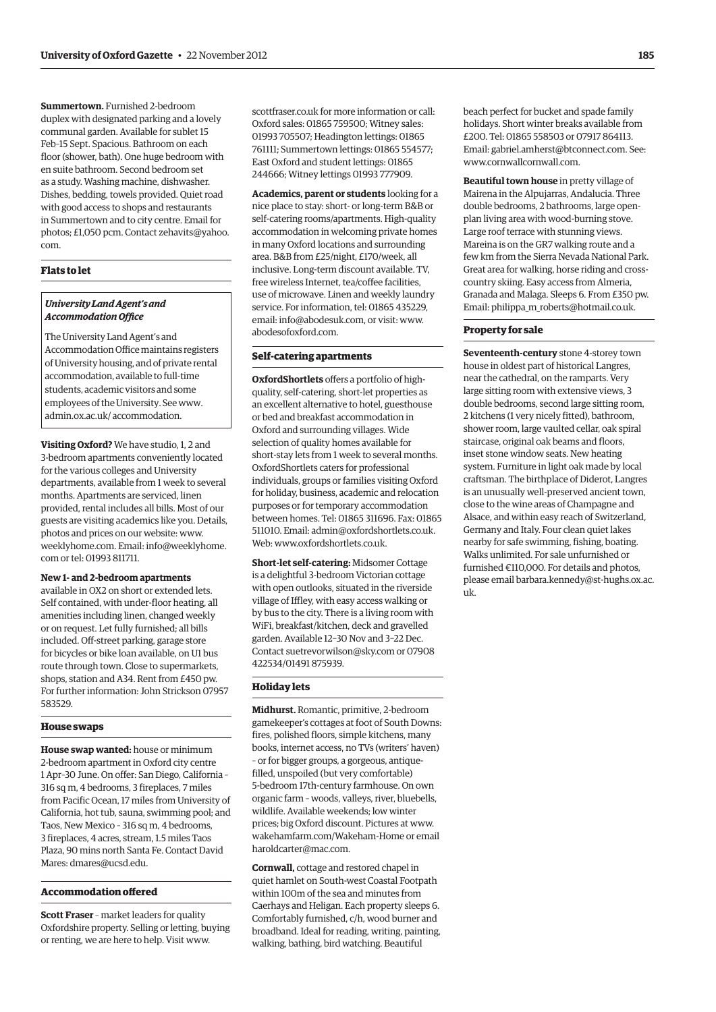**Summertown.** Furnished 2-bedroom duplex with designated parking and a lovely communal garden. Available for sublet 15 Feb–15 Sept. Spacious. Bathroom on each floor (shower, bath). One huge bedroom with en suite bathroom. Second bedroom set as a study. Washing machine, dishwasher. Dishes, bedding, towels provided. Quiet road with good access to shops and restaurants in Summertown and to city centre. Email for photos; £1,050 pcm. Contact zehavits@yahoo. com.

# **Flats to let**

#### *University Land Agent's and Accommodation Office*

The University Land Agent's and Accommodation Office maintains registers of University housing, and of private rental accommodation, available to full-time students, academic visitors and some employees of the University. See www. admin.ox.ac.uk/ accommodation.

**Visiting Oxford?** We have studio, 1, 2 and 3-bedroom apartments conveniently located for the various colleges and University departments, available from 1 week to several months. Apartments are serviced, linen provided, rental includes all bills. Most of our guests are visiting academics like you. Details, photos and prices on our website: www. weeklyhome.com. Email: info@weeklyhome. com or tel: 01993 811711.

## **New 1- and 2-bedroom apartments**

available in OX2 on short or extended lets. Self contained, with under-floor heating, all amenities including linen, changed weekly or on request. Let fully furnished; all bills included. Off-street parking, garage store for bicycles or bike loan available, on U1 bus route through town. Close to supermarkets, shops, station and A34. Rent from £450 pw. For further information: John Strickson 07957 583529.

#### **House swaps**

**House swap wanted:** house or minimum 2-bedroom apartment in Oxford city centre 1 Apr–30 June. On offer: San Diego, California – 316 sq m, 4 bedrooms, 3 fireplaces, 7 miles from Pacific Ocean, 17 miles from University of California, hot tub, sauna, swimming pool; and Taos, New Mexico – 316 sq m, 4 bedrooms, 3 fireplaces, 4 acres, stream, 1.5 miles Taos Plaza, 90 mins north Santa Fe. Contact David Mares: dmares@ucsd.edu.

# **Accommodation offered**

**Scott Fraser** – market leaders for quality Oxfordshire property. Selling or letting, buying or renting, we are here to help. Visit www.

scottfraser.co.uk for more information or call: Oxford sales: 01865 759500; Witney sales: 01993 705507; Headington lettings: 01865 761111; Summertown lettings: 01865 554577; East Oxford and student lettings: 01865 244666; Witney lettings 01993 777909.

**Academics, parent or students** looking for a nice place to stay: short- or long-term B&B or self-catering rooms/apartments. High-quality accommodation in welcoming private homes in many Oxford locations and surrounding area. B&B from £25/night, £170/week, all inclusive. Long-term discount available. TV, free wireless Internet, tea/coffee facilities, use of microwave. Linen and weekly laundry service. For information, tel: 01865 435229, email: info@abodesuk.com, or visit: www. abodesofoxford.com.

#### **Self-catering apartments**

**OxfordShortlets** offers a portfolio of highquality, self-catering, short-let properties as an excellent alternative to hotel, guesthouse or bed and breakfast accommodation in Oxford and surrounding villages. Wide selection of quality homes available for short-stay lets from 1 week to several months. OxfordShortlets caters for professional individuals, groups or families visiting Oxford for holiday, business, academic and relocation purposes or for temporary accommodation between homes. Tel: 01865 311696. Fax: 01865 511010. Email: admin@oxfordshortlets.co.uk. Web: www.oxfordshortlets.co.uk.

**Short-let self-catering:** Midsomer Cottage is a delightful 3-bedroom Victorian cottage with open outlooks, situated in the riverside village of Iffley, with easy access walking or by bus to the city. There is a living room with WiFi, breakfast/kitchen, deck and gravelled garden. Available 12–30 Nov and 3–22 Dec. Contact suetrevorwilson@sky.com or 07908 422534/01491 875939.

#### **Holiday lets**

**Midhurst.** Romantic, primitive, 2-bedroom gamekeeper's cottages at foot of South Downs: fires, polished floors, simple kitchens, many books, internet access, no TVs (writers' haven) – or for bigger groups, a gorgeous, antiquefilled, unspoiled (but very comfortable) 5-bedroom 17th-century farmhouse. On own organic farm – woods, valleys, river, bluebells, wildlife. Available weekends; low winter prices; big Oxford discount. Pictures at www. wakehamfarm.com/Wakeham-Home or email haroldcarter@mac.com.

**Cornwall,** cottage and restored chapel in quiet hamlet on South-west Coastal Footpath within 100m of the sea and minutes from Caerhays and Heligan. Each property sleeps 6. Comfortably furnished, c/h, wood burner and broadband. Ideal for reading, writing, painting, walking, bathing, bird watching. Beautiful

beach perfect for bucket and spade family holidays. Short winter breaks available from £200. Tel: 01865 558503 or 07917 864113. Email: gabriel.amherst@btconnect.com. See: www.cornwallcornwall.com.

**Beautiful town house** in pretty village of Mairena in the Alpujarras, Andalucia. Three double bedrooms, 2 bathrooms, large openplan living area with wood-burning stove. Large roof terrace with stunning views. Mareina is on the GR7 walking route and a few km from the Sierra Nevada National Park. Great area for walking, horse riding and crosscountry skiing. Easy access from Almeria, Granada and Malaga. Sleeps 6. From £350 pw. Email: philippa\_m\_roberts@hotmail.co.uk.

#### **Property for sale**

**Seventeenth-century** stone 4-storey town house in oldest part of historical Langres, near the cathedral, on the ramparts. Very large sitting room with extensive views, 3 double bedrooms, second large sitting room, 2 kitchens (1 very nicely fitted), bathroom, shower room, large vaulted cellar, oak spiral staircase, original oak beams and floors, inset stone window seats. New heating system. Furniture in light oak made by local craftsman. The birthplace of Diderot, Langres is an unusually well-preserved ancient town, close to the wine areas of Champagne and Alsace, and within easy reach of Switzerland, Germany and Italy. Four clean quiet lakes nearby for safe swimming, fishing, boating. Walks unlimited. For sale unfurnished or furnished €110,000. For details and photos, please email barbara.kennedy@st-hughs.ox.ac. uk.